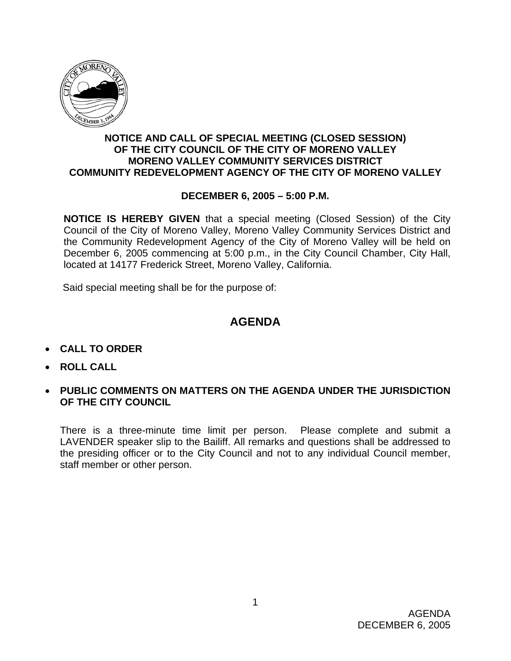

### **NOTICE AND CALL OF SPECIAL MEETING (CLOSED SESSION) OF THE CITY COUNCIL OF THE CITY OF MORENO VALLEY MORENO VALLEY COMMUNITY SERVICES DISTRICT COMMUNITY REDEVELOPMENT AGENCY OF THE CITY OF MORENO VALLEY**

#### **DECEMBER 6, 2005 – 5:00 P.M.**

**NOTICE IS HEREBY GIVEN** that a special meeting (Closed Session) of the City Council of the City of Moreno Valley, Moreno Valley Community Services District and the Community Redevelopment Agency of the City of Moreno Valley will be held on December 6, 2005 commencing at 5:00 p.m., in the City Council Chamber, City Hall, located at 14177 Frederick Street, Moreno Valley, California.

Said special meeting shall be for the purpose of:

# **AGENDA**

- **CALL TO ORDER**
- **ROLL CALL**
- **PUBLIC COMMENTS ON MATTERS ON THE AGENDA UNDER THE JURISDICTION OF THE CITY COUNCIL**

There is a three-minute time limit per person. Please complete and submit a LAVENDER speaker slip to the Bailiff. All remarks and questions shall be addressed to the presiding officer or to the City Council and not to any individual Council member, staff member or other person.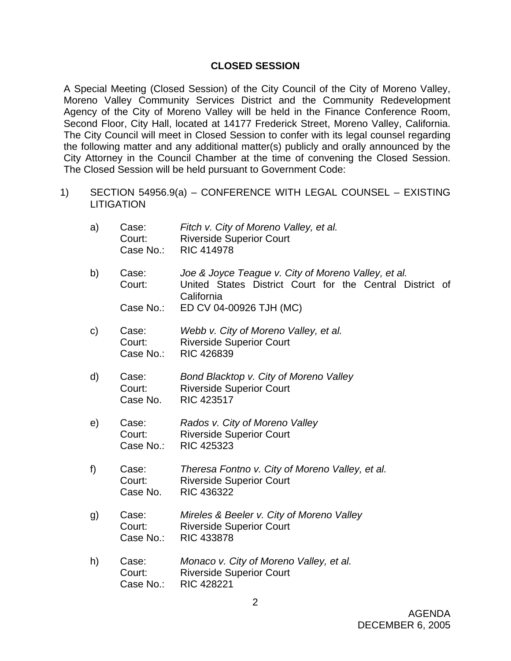#### **CLOSED SESSION**

A Special Meeting (Closed Session) of the City Council of the City of Moreno Valley, Moreno Valley Community Services District and the Community Redevelopment Agency of the City of Moreno Valley will be held in the Finance Conference Room, Second Floor, City Hall, located at 14177 Frederick Street, Moreno Valley, California. The City Council will meet in Closed Session to confer with its legal counsel regarding the following matter and any additional matter(s) publicly and orally announced by the City Attorney in the Council Chamber at the time of convening the Closed Session. The Closed Session will be held pursuant to Government Code:

1) SECTION 54956.9(a) – CONFERENCE WITH LEGAL COUNSEL – EXISTING **LITIGATION** 

| a)            | Case:<br>Court:<br>Case No.: | Fitch v. City of Moreno Valley, et al.<br><b>Riverside Superior Court</b><br><b>RIC 414978</b>                                |
|---------------|------------------------------|-------------------------------------------------------------------------------------------------------------------------------|
| b)            | Case:<br>Court:              | Joe & Joyce Teague v. City of Moreno Valley, et al.<br>United States District Court for the Central District of<br>California |
|               | Case No.:                    | ED CV 04-00926 TJH (MC)                                                                                                       |
| $\mathsf{c})$ | Case:<br>Court:<br>Case No.: | Webb v. City of Moreno Valley, et al.<br><b>Riverside Superior Court</b><br><b>RIC 426839</b>                                 |
| d)            | Case:<br>Court:<br>Case No.  | Bond Blacktop v. City of Moreno Valley<br><b>Riverside Superior Court</b><br>RIC 423517                                       |
| e)            | Case:<br>Court:<br>Case No.: | Rados v. City of Moreno Valley<br><b>Riverside Superior Court</b><br><b>RIC 425323</b>                                        |
| f)            | Case:<br>Court:<br>Case No.  | Theresa Fontno v. City of Moreno Valley, et al.<br><b>Riverside Superior Court</b><br>RIC 436322                              |
| g)            | Case:<br>Court:<br>Case No.: | Mireles & Beeler v. City of Moreno Valley<br><b>Riverside Superior Court</b><br><b>RIC 433878</b>                             |
| h)            | Case:<br>Court:<br>Case No.: | Monaco v. City of Moreno Valley, et al.<br><b>Riverside Superior Court</b><br>RIC 428221                                      |